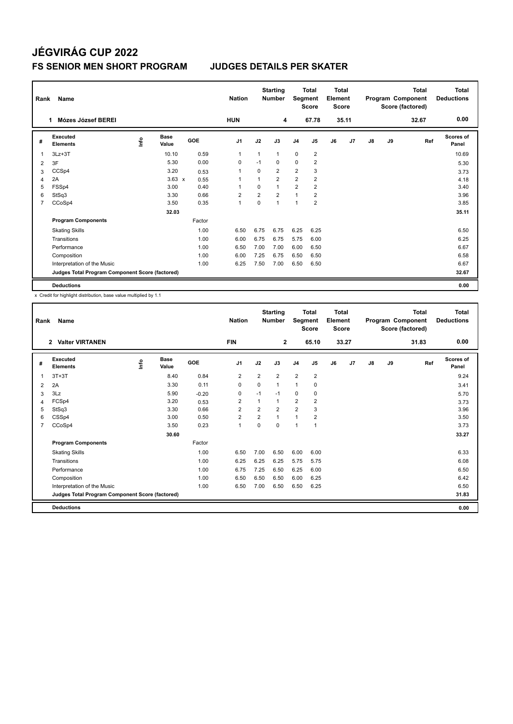# **JÉGVIRÁG CUP 2022 FS SENIOR MEN SHORT PROGRAM JUDGES DETAILS PER SKATER**

| Rank           | Name                                            |      |                      |            | <b>Starting</b><br><b>Nation</b><br><b>Number</b> |                | <b>Total</b><br>Segment<br><b>Score</b> |                | Total<br>Element<br><b>Score</b> |    | <b>Total</b><br>Program Component<br>Score (factored) |    |    | <b>Total</b><br><b>Deductions</b> |                    |
|----------------|-------------------------------------------------|------|----------------------|------------|---------------------------------------------------|----------------|-----------------------------------------|----------------|----------------------------------|----|-------------------------------------------------------|----|----|-----------------------------------|--------------------|
|                | Mózes József BEREI                              |      |                      |            | <b>HUN</b>                                        |                | 4                                       |                | 67.78                            |    | 35.11                                                 |    |    | 32.67                             | 0.00               |
| #              | Executed<br><b>Elements</b>                     | ١nf٥ | <b>Base</b><br>Value | <b>GOE</b> | J <sub>1</sub>                                    | J2             | J3                                      | J <sub>4</sub> | J <sub>5</sub>                   | J6 | J7                                                    | J8 | J9 | Ref                               | Scores of<br>Panel |
| 1              | $3Lz + 3T$                                      |      | 10.10                | 0.59       | $\overline{1}$                                    | $\mathbf{1}$   | $\mathbf{1}$                            | $\mathbf 0$    | $\overline{2}$                   |    |                                                       |    |    |                                   | 10.69              |
| $\overline{2}$ | 3F                                              |      | 5.30                 | 0.00       | 0                                                 | $-1$           | 0                                       | 0              | $\overline{2}$                   |    |                                                       |    |    |                                   | 5.30               |
| 3              | CCSp4                                           |      | 3.20                 | 0.53       | 1                                                 | 0              | $\overline{2}$                          | $\overline{2}$ | 3                                |    |                                                       |    |    |                                   | 3.73               |
| 4              | 2A                                              |      | $3.63 \times$        | 0.55       | 1                                                 |                | $\overline{2}$                          | 2              | $\overline{2}$                   |    |                                                       |    |    |                                   | 4.18               |
| 5              | FSSp4                                           |      | 3.00                 | 0.40       | 1                                                 | $\Omega$       | $\mathbf{1}$                            | $\overline{2}$ | $\overline{2}$                   |    |                                                       |    |    |                                   | 3.40               |
| 6              | StSq3                                           |      | 3.30                 | 0.66       | $\overline{2}$                                    | $\overline{2}$ | $\overline{2}$                          | $\mathbf{1}$   | $\overline{2}$                   |    |                                                       |    |    |                                   | 3.96               |
| 7              | CCoSp4                                          |      | 3.50                 | 0.35       | $\overline{1}$                                    | $\mathbf 0$    | 1                                       | 1              | $\overline{2}$                   |    |                                                       |    |    |                                   | 3.85               |
|                |                                                 |      | 32.03                |            |                                                   |                |                                         |                |                                  |    |                                                       |    |    |                                   | 35.11              |
|                | <b>Program Components</b>                       |      |                      | Factor     |                                                   |                |                                         |                |                                  |    |                                                       |    |    |                                   |                    |
|                | <b>Skating Skills</b>                           |      |                      | 1.00       | 6.50                                              | 6.75           | 6.75                                    | 6.25           | 6.25                             |    |                                                       |    |    |                                   | 6.50               |
|                | Transitions                                     |      |                      | 1.00       | 6.00                                              | 6.75           | 6.75                                    | 5.75           | 6.00                             |    |                                                       |    |    |                                   | 6.25               |
|                | Performance                                     |      |                      | 1.00       | 6.50                                              | 7.00           | 7.00                                    | 6.00           | 6.50                             |    |                                                       |    |    |                                   | 6.67               |
|                | Composition                                     |      |                      | 1.00       | 6.00                                              | 7.25           | 6.75                                    | 6.50           | 6.50                             |    |                                                       |    |    |                                   | 6.58               |
|                | Interpretation of the Music                     |      |                      | 1.00       | 6.25                                              | 7.50           | 7.00                                    | 6.50           | 6.50                             |    |                                                       |    |    |                                   | 6.67               |
|                | Judges Total Program Component Score (factored) |      |                      |            |                                                   |                |                                         |                |                                  |    |                                                       |    |    |                                   | 32.67              |
|                | <b>Deductions</b>                               |      |                      |            |                                                   |                |                                         |                |                                  |    |                                                       |    |    |                                   | 0.00               |

x Credit for highlight distribution, base value multiplied by 1.1

| Rank           | Name                                            |      |                      |         | <b>Nation</b>  |                | <b>Starting</b><br><b>Number</b> |                | <b>Total</b><br>Segment<br><b>Score</b> |    | Total<br>Element<br><b>Score</b> |    |    | <b>Total</b><br>Program Component<br>Score (factored) | <b>Total</b><br><b>Deductions</b> |
|----------------|-------------------------------------------------|------|----------------------|---------|----------------|----------------|----------------------------------|----------------|-----------------------------------------|----|----------------------------------|----|----|-------------------------------------------------------|-----------------------------------|
|                | <b>Valter VIRTANEN</b><br>$\overline{2}$        |      |                      |         | <b>FIN</b>     |                | $\mathbf{2}$                     |                | 65.10                                   |    | 33.27                            |    |    | 31.83                                                 | 0.00                              |
| #              | Executed<br><b>Elements</b>                     | info | <b>Base</b><br>Value | GOE     | J <sub>1</sub> | J2             | J3                               | J <sub>4</sub> | J <sub>5</sub>                          | J6 | J7                               | J8 | J9 | Ref                                                   | <b>Scores of</b><br>Panel         |
| 1              | $3T+3T$                                         |      | 8.40                 | 0.84    | $\overline{2}$ | $\overline{2}$ | $\overline{2}$                   | $\overline{2}$ | $\overline{2}$                          |    |                                  |    |    |                                                       | 9.24                              |
| 2              | 2A                                              |      | 3.30                 | 0.11    | 0              | 0              | 1                                | $\overline{1}$ | 0                                       |    |                                  |    |    |                                                       | 3.41                              |
| 3              | 3Lz                                             |      | 5.90                 | $-0.20$ | 0              | $-1$           | $-1$                             | 0              | 0                                       |    |                                  |    |    |                                                       | 5.70                              |
| 4              | FCSp4                                           |      | 3.20                 | 0.53    | $\overline{2}$ | 1              | 1                                | $\overline{2}$ | $\overline{2}$                          |    |                                  |    |    |                                                       | 3.73                              |
| 5              | StSq3                                           |      | 3.30                 | 0.66    | $\overline{2}$ | $\overline{2}$ | $\overline{2}$                   | $\overline{2}$ | 3                                       |    |                                  |    |    |                                                       | 3.96                              |
| 6              | CSSp4                                           |      | 3.00                 | 0.50    | $\overline{2}$ | $\overline{2}$ | 1                                | $\mathbf{1}$   | $\overline{2}$                          |    |                                  |    |    |                                                       | 3.50                              |
| $\overline{7}$ | CCoSp4                                          |      | 3.50                 | 0.23    | $\mathbf{1}$   | $\Omega$       | 0                                | $\overline{1}$ | 1                                       |    |                                  |    |    |                                                       | 3.73                              |
|                |                                                 |      | 30.60                |         |                |                |                                  |                |                                         |    |                                  |    |    |                                                       | 33.27                             |
|                | <b>Program Components</b>                       |      |                      | Factor  |                |                |                                  |                |                                         |    |                                  |    |    |                                                       |                                   |
|                | <b>Skating Skills</b>                           |      |                      | 1.00    | 6.50           | 7.00           | 6.50                             | 6.00           | 6.00                                    |    |                                  |    |    |                                                       | 6.33                              |
|                | Transitions                                     |      |                      | 1.00    | 6.25           | 6.25           | 6.25                             | 5.75           | 5.75                                    |    |                                  |    |    |                                                       | 6.08                              |
|                | Performance                                     |      |                      | 1.00    | 6.75           | 7.25           | 6.50                             | 6.25           | 6.00                                    |    |                                  |    |    |                                                       | 6.50                              |
|                | Composition                                     |      |                      | 1.00    | 6.50           | 6.50           | 6.50                             | 6.00           | 6.25                                    |    |                                  |    |    |                                                       | 6.42                              |
|                | Interpretation of the Music                     |      |                      | 1.00    | 6.50           | 7.00           | 6.50                             | 6.50           | 6.25                                    |    |                                  |    |    |                                                       | 6.50                              |
|                | Judges Total Program Component Score (factored) |      |                      |         |                |                |                                  |                |                                         |    |                                  |    |    |                                                       | 31.83                             |
|                | <b>Deductions</b>                               |      |                      |         |                |                |                                  |                |                                         |    |                                  |    |    |                                                       | 0.00                              |
|                |                                                 |      |                      |         |                |                |                                  |                |                                         |    |                                  |    |    |                                                       |                                   |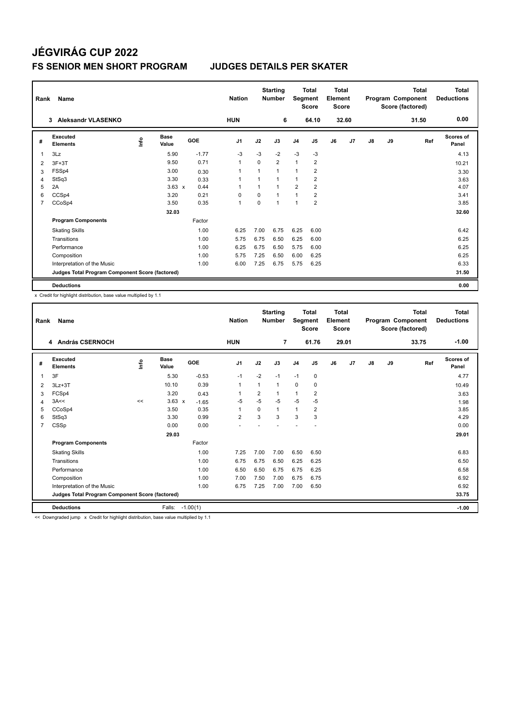# **JÉGVIRÁG CUP 2022 FS SENIOR MEN SHORT PROGRAM JUDGES DETAILS PER SKATER**

| Rank           | Name                                            |      |                      |            | <b>Nation</b>  |             | <b>Starting</b><br><b>Number</b> | Segment        | <b>Total</b><br><b>Score</b> | Total<br>Element<br><b>Score</b> |                |    |    | <b>Total</b><br>Program Component<br>Score (factored) | <b>Total</b><br><b>Deductions</b> |
|----------------|-------------------------------------------------|------|----------------------|------------|----------------|-------------|----------------------------------|----------------|------------------------------|----------------------------------|----------------|----|----|-------------------------------------------------------|-----------------------------------|
|                | <b>Aleksandr VLASENKO</b><br>3                  |      |                      |            | <b>HUN</b>     |             | 6                                |                | 64.10                        |                                  | 32.60          |    |    | 31.50                                                 | 0.00                              |
| #              | Executed<br><b>Elements</b>                     | lnfo | <b>Base</b><br>Value | <b>GOE</b> | J <sub>1</sub> | J2          | J3                               | J <sub>4</sub> | J <sub>5</sub>               | J6                               | J <sub>7</sub> | J8 | J9 | Ref                                                   | Scores of<br>Panel                |
| 1              | 3Lz                                             |      | 5.90                 | $-1.77$    | $-3$           | $-3$        | $-2$                             | $-3$           | -3                           |                                  |                |    |    |                                                       | 4.13                              |
| 2              | $3F+3T$                                         |      | 9.50                 | 0.71       | $\overline{1}$ | $\Omega$    | $\overline{2}$                   | $\mathbf{1}$   | $\overline{2}$               |                                  |                |    |    |                                                       | 10.21                             |
| 3              | FSSp4                                           |      | 3.00                 | 0.30       | 1              | 1           | $\overline{1}$                   | 1              | 2                            |                                  |                |    |    |                                                       | 3.30                              |
| 4              | StSq3                                           |      | 3.30                 | 0.33       | $\overline{1}$ |             | $\overline{ }$                   | 1              | $\overline{2}$               |                                  |                |    |    |                                                       | 3.63                              |
| 5              | 2A                                              |      | $3.63 \times$        | 0.44       | 1              |             |                                  | $\overline{2}$ | $\overline{2}$               |                                  |                |    |    |                                                       | 4.07                              |
| 6              | CCSp4                                           |      | 3.20                 | 0.21       | $\Omega$       | $\Omega$    | $\mathbf{1}$                     | 1              | $\overline{2}$               |                                  |                |    |    |                                                       | 3.41                              |
| $\overline{7}$ | CCoSp4                                          |      | 3.50                 | 0.35       | $\mathbf{1}$   | $\mathbf 0$ | 1                                | 1              | $\overline{2}$               |                                  |                |    |    |                                                       | 3.85                              |
|                |                                                 |      | 32.03                |            |                |             |                                  |                |                              |                                  |                |    |    |                                                       | 32.60                             |
|                | <b>Program Components</b>                       |      |                      | Factor     |                |             |                                  |                |                              |                                  |                |    |    |                                                       |                                   |
|                | <b>Skating Skills</b>                           |      |                      | 1.00       | 6.25           | 7.00        | 6.75                             | 6.25           | 6.00                         |                                  |                |    |    |                                                       | 6.42                              |
|                | Transitions                                     |      |                      | 1.00       | 5.75           | 6.75        | 6.50                             | 6.25           | 6.00                         |                                  |                |    |    |                                                       | 6.25                              |
|                | Performance                                     |      |                      | 1.00       | 6.25           | 6.75        | 6.50                             | 5.75           | 6.00                         |                                  |                |    |    |                                                       | 6.25                              |
|                | Composition                                     |      |                      | 1.00       | 5.75           | 7.25        | 6.50                             | 6.00           | 6.25                         |                                  |                |    |    |                                                       | 6.25                              |
|                | Interpretation of the Music                     |      |                      | 1.00       | 6.00           | 7.25        | 6.75                             | 5.75           | 6.25                         |                                  |                |    |    |                                                       | 6.33                              |
|                | Judges Total Program Component Score (factored) |      |                      |            |                |             |                                  |                |                              |                                  |                |    |    |                                                       | 31.50                             |
|                | <b>Deductions</b>                               |      |                      |            |                |             |                                  |                |                              |                                  |                |    |    |                                                       | 0.00                              |

x Credit for highlight distribution, base value multiplied by 1.1

|                | Name<br>Rank                                    |             |                      |            |                |          | <b>Starting</b><br><b>Number</b> |                | <b>Total</b><br>Segment<br><b>Score</b> |    | <b>Total</b><br>Element<br><b>Score</b> |    |    | <b>Total</b><br>Program Component<br>Score (factored) | <b>Total</b><br><b>Deductions</b> |
|----------------|-------------------------------------------------|-------------|----------------------|------------|----------------|----------|----------------------------------|----------------|-----------------------------------------|----|-----------------------------------------|----|----|-------------------------------------------------------|-----------------------------------|
|                | 4 András CSERNOCH                               |             |                      |            | <b>HUN</b>     |          | $\overline{7}$                   |                | 61.76                                   |    | 29.01                                   |    |    | 33.75                                                 | $-1.00$                           |
| #              | Executed<br><b>Elements</b>                     | <u>info</u> | <b>Base</b><br>Value | GOE        | J <sub>1</sub> | J2       | J3                               | J <sub>4</sub> | J <sub>5</sub>                          | J6 | J7                                      | J8 | J9 | Ref                                                   | <b>Scores of</b><br>Panel         |
| 1              | 3F                                              |             | 5.30                 | $-0.53$    | $-1$           | $-2$     | $-1$                             | $-1$           | 0                                       |    |                                         |    |    |                                                       | 4.77                              |
| 2              | $3Lz + 3T$                                      |             | 10.10                | 0.39       | $\mathbf{1}$   | 1        | 1                                | 0              | 0                                       |    |                                         |    |    |                                                       | 10.49                             |
| 3              | FCSp4                                           |             | 3.20                 | 0.43       | 1              | 2        | 1                                | $\mathbf{1}$   | 2                                       |    |                                         |    |    |                                                       | 3.63                              |
| 4              | 3A<<                                            | <<          | $3.63 \times$        | $-1.65$    | $-5$           | $-5$     | $-5$                             | $-5$           | $-5$                                    |    |                                         |    |    |                                                       | 1.98                              |
| 5              | CCoSp4                                          |             | 3.50                 | 0.35       | $\mathbf{1}$   | $\Omega$ | 1                                | $\overline{1}$ | 2                                       |    |                                         |    |    |                                                       | 3.85                              |
| 6              | StSq3                                           |             | 3.30                 | 0.99       | $\overline{2}$ | 3        | 3                                | 3              | 3                                       |    |                                         |    |    |                                                       | 4.29                              |
| $\overline{7}$ | CSSp                                            |             | 0.00                 | 0.00       |                |          |                                  |                |                                         |    |                                         |    |    |                                                       | 0.00                              |
|                |                                                 |             | 29.03                |            |                |          |                                  |                |                                         |    |                                         |    |    |                                                       | 29.01                             |
|                | <b>Program Components</b>                       |             |                      | Factor     |                |          |                                  |                |                                         |    |                                         |    |    |                                                       |                                   |
|                | <b>Skating Skills</b>                           |             |                      | 1.00       | 7.25           | 7.00     | 7.00                             | 6.50           | 6.50                                    |    |                                         |    |    |                                                       | 6.83                              |
|                | Transitions                                     |             |                      | 1.00       | 6.75           | 6.75     | 6.50                             | 6.25           | 6.25                                    |    |                                         |    |    |                                                       | 6.50                              |
|                | Performance                                     |             |                      | 1.00       | 6.50           | 6.50     | 6.75                             | 6.75           | 6.25                                    |    |                                         |    |    |                                                       | 6.58                              |
|                | Composition                                     |             |                      | 1.00       | 7.00           | 7.50     | 7.00                             | 6.75           | 6.75                                    |    |                                         |    |    |                                                       | 6.92                              |
|                | Interpretation of the Music                     |             |                      | 1.00       | 6.75           | 7.25     | 7.00                             | 7.00           | 6.50                                    |    |                                         |    |    |                                                       | 6.92                              |
|                | Judges Total Program Component Score (factored) |             |                      |            |                |          |                                  |                |                                         |    |                                         |    |    |                                                       | 33.75                             |
|                | <b>Deductions</b>                               |             | Falls:               | $-1.00(1)$ |                |          |                                  |                |                                         |    |                                         |    |    |                                                       | $-1.00$                           |

<< Downgraded jump x Credit for highlight distribution, base value multiplied by 1.1